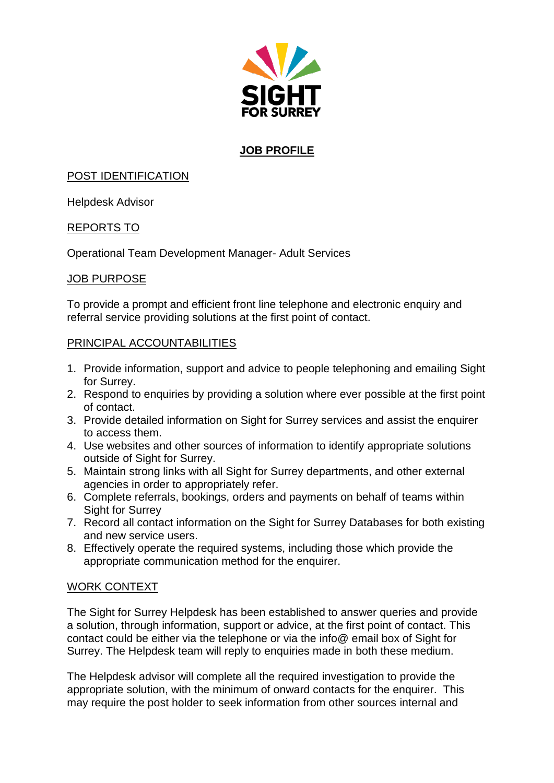

# **JOB PROFILE**

## POST IDENTIFICATION

Helpdesk Advisor

## REPORTS TO

Operational Team Development Manager- Adult Services

## JOB PURPOSE

To provide a prompt and efficient front line telephone and electronic enquiry and referral service providing solutions at the first point of contact.

## PRINCIPAL ACCOUNTABILITIES

- 1. Provide information, support and advice to people telephoning and emailing Sight for Surrey.
- 2. Respond to enquiries by providing a solution where ever possible at the first point of contact.
- 3. Provide detailed information on Sight for Surrey services and assist the enquirer to access them.
- 4. Use websites and other sources of information to identify appropriate solutions outside of Sight for Surrey.
- 5. Maintain strong links with all Sight for Surrey departments, and other external agencies in order to appropriately refer.
- 6. Complete referrals, bookings, orders and payments on behalf of teams within Sight for Surrey
- 7. Record all contact information on the Sight for Surrey Databases for both existing and new service users.
- 8. Effectively operate the required systems, including those which provide the appropriate communication method for the enquirer.

## WORK CONTEXT

The Sight for Surrey Helpdesk has been established to answer queries and provide a solution, through information, support or advice, at the first point of contact. This contact could be either via the telephone or via the info@ email box of Sight for Surrey. The Helpdesk team will reply to enquiries made in both these medium.

The Helpdesk advisor will complete all the required investigation to provide the appropriate solution, with the minimum of onward contacts for the enquirer. This may require the post holder to seek information from other sources internal and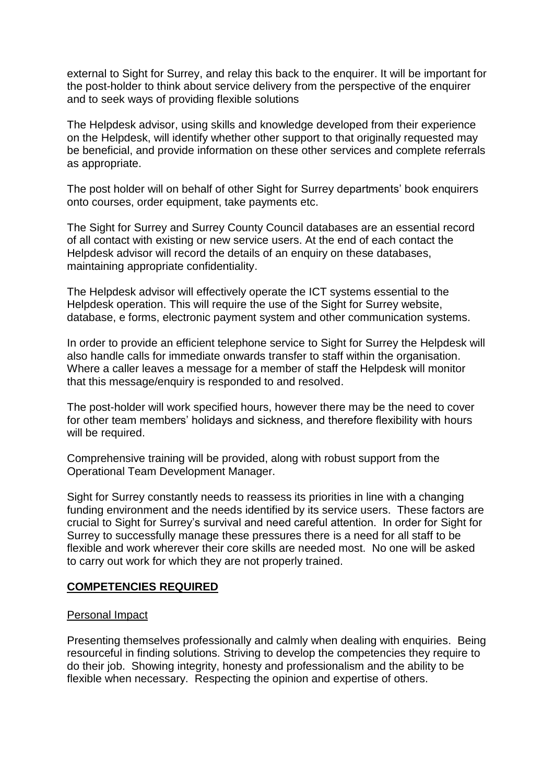external to Sight for Surrey, and relay this back to the enquirer. It will be important for the post-holder to think about service delivery from the perspective of the enquirer and to seek ways of providing flexible solutions

The Helpdesk advisor, using skills and knowledge developed from their experience on the Helpdesk, will identify whether other support to that originally requested may be beneficial, and provide information on these other services and complete referrals as appropriate.

The post holder will on behalf of other Sight for Surrey departments' book enquirers onto courses, order equipment, take payments etc.

The Sight for Surrey and Surrey County Council databases are an essential record of all contact with existing or new service users. At the end of each contact the Helpdesk advisor will record the details of an enquiry on these databases, maintaining appropriate confidentiality.

The Helpdesk advisor will effectively operate the ICT systems essential to the Helpdesk operation. This will require the use of the Sight for Surrey website, database, e forms, electronic payment system and other communication systems.

In order to provide an efficient telephone service to Sight for Surrey the Helpdesk will also handle calls for immediate onwards transfer to staff within the organisation. Where a caller leaves a message for a member of staff the Helpdesk will monitor that this message/enquiry is responded to and resolved.

The post-holder will work specified hours, however there may be the need to cover for other team members' holidays and sickness, and therefore flexibility with hours will be required.

Comprehensive training will be provided, along with robust support from the Operational Team Development Manager.

Sight for Surrey constantly needs to reassess its priorities in line with a changing funding environment and the needs identified by its service users. These factors are crucial to Sight for Surrey's survival and need careful attention. In order for Sight for Surrey to successfully manage these pressures there is a need for all staff to be flexible and work wherever their core skills are needed most. No one will be asked to carry out work for which they are not properly trained.

## **COMPETENCIES REQUIRED**

#### Personal Impact

Presenting themselves professionally and calmly when dealing with enquiries. Being resourceful in finding solutions. Striving to develop the competencies they require to do their job. Showing integrity, honesty and professionalism and the ability to be flexible when necessary. Respecting the opinion and expertise of others.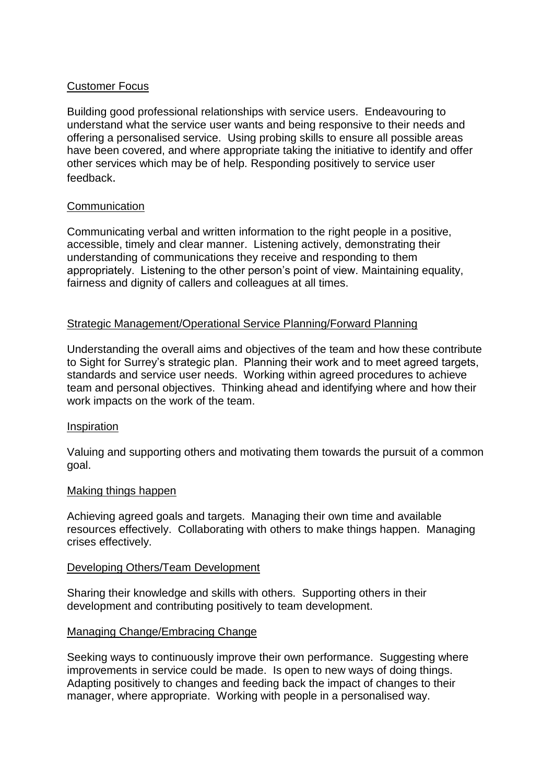## Customer Focus

Building good professional relationships with service users. Endeavouring to understand what the service user wants and being responsive to their needs and offering a personalised service. Using probing skills to ensure all possible areas have been covered, and where appropriate taking the initiative to identify and offer other services which may be of help. Responding positively to service user feedback.

## **Communication**

Communicating verbal and written information to the right people in a positive, accessible, timely and clear manner. Listening actively, demonstrating their understanding of communications they receive and responding to them appropriately. Listening to the other person's point of view. Maintaining equality, fairness and dignity of callers and colleagues at all times.

#### Strategic Management/Operational Service Planning/Forward Planning

Understanding the overall aims and objectives of the team and how these contribute to Sight for Surrey's strategic plan. Planning their work and to meet agreed targets, standards and service user needs. Working within agreed procedures to achieve team and personal objectives. Thinking ahead and identifying where and how their work impacts on the work of the team.

#### Inspiration

Valuing and supporting others and motivating them towards the pursuit of a common goal.

#### Making things happen

Achieving agreed goals and targets. Managing their own time and available resources effectively. Collaborating with others to make things happen. Managing crises effectively.

#### Developing Others/Team Development

Sharing their knowledge and skills with others. Supporting others in their development and contributing positively to team development.

## Managing Change/Embracing Change

Seeking ways to continuously improve their own performance. Suggesting where improvements in service could be made. Is open to new ways of doing things. Adapting positively to changes and feeding back the impact of changes to their manager, where appropriate. Working with people in a personalised way.